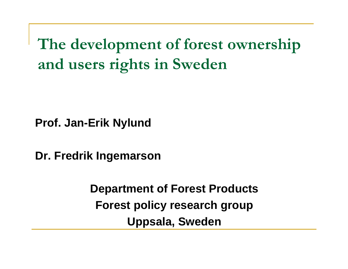**The development of forest ownership and users rights in Sweden**

**Prof. Jan-Erik Nylund**

**Dr. Fredrik Ingemarson**

**Department of Forest Products Forest policy research group Uppsala, Sweden**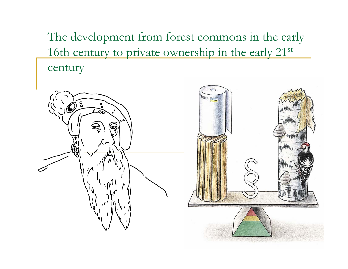The development from forest commons in the early 16th century to private ownership in the early 21<sup>st</sup> century

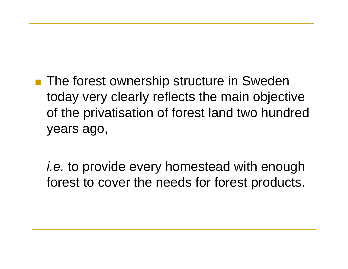**The forest ownership structure in Sweden** today very clearly reflects the main objective of the privatisation of forest land two hundred years ago,

*i.e.* to provide every homestead with enough forest to cover the needs for forest products.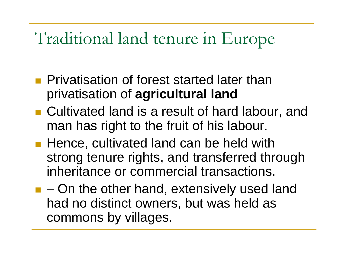## Traditional land tenure in Europe

- **Privatisation of forest started later than** privatisation of **agricultural land**
- Cultivated land is a result of hard labour, and man has right to the fruit of his labour.
- Hence, cultivated land can be held with strong tenure rights, and transferred through inheritance or commercial transactions.
- $\blacksquare$  On the other hand, extensively used land had no distinct owners, but was held as commons by villages.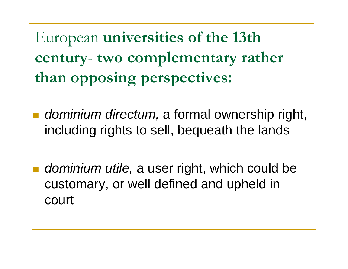European **universities of the 13th century**- **two complementary rather than opposing perspectives:**

- ■ *dominium directum,* a formal ownership right, including rights to sell, bequeath the lands
- *dominium utile,* a user right, which could be customary, or well defined and upheld in court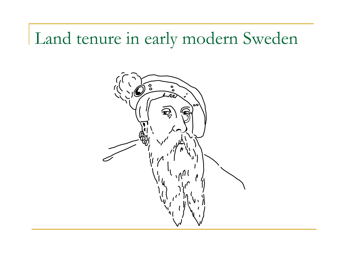## Land tenure in early modern Sweden

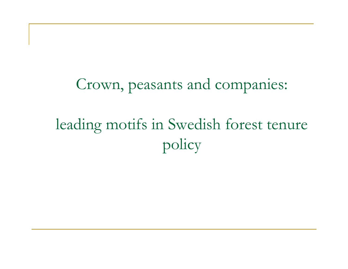Crown, peasants and companies: leading motifs in Swedish forest tenure

policy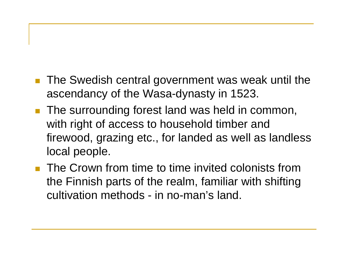- $\mathcal{L}(\mathcal{A})$  The Swedish central government was weak until the ascendancy of the Wasa-dynasty in 1523.
- П The surrounding forest land was held in common, with right of access to household timber and firewood, grazing etc., for landed as well as landless local people.
- **The Crown from time to time invited colonists from** the Finnish parts of the realm, familiar with shifting cultivation methods - in no-man's land.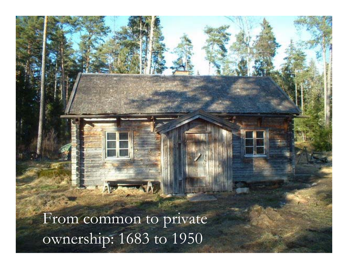From common to private ownership: 1683 to 1950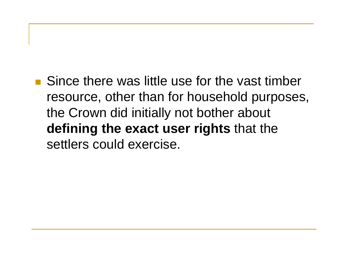**Since there was little use for the vast timber** resource, other than for household purposes, the Crown did initially not bother about **defining the exact user rights** that the settlers could exercise.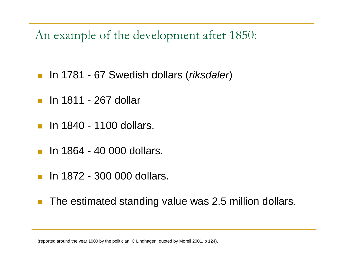An example of the development after 1850:

- In 1781 67 Swedish dollars (*riksdaler*)
- **In 1811 267 dollar**
- $\blacksquare$  In 1840 1100 dollars.
- F In 1864 - 40 000 dollars.
- **In 1872 300 000 dollars.**
- The estimated standing value was 2.5 million dollars.

(reported around the year 1900 by the politician, C Lindhagen; quoted by Morell 2001, p 124).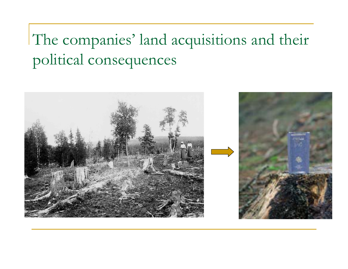The companies' land acquisitions and their political consequences

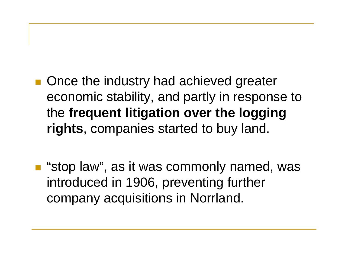- Once the industry had achieved greater economic stability, and partly in response to the **frequent litigation over the logging rights**, companies started to buy land.
- "stop law", as it was commonly named, was introduced in 1906, preventing further company acquisitions in Norrland.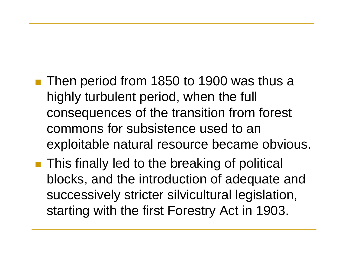- Then period from 1850 to 1900 was thus a highly turbulent period, when the full consequences of the transition from forest commons for subsistence used to an exploitable natural resource became obvious.
- **This finally led to the breaking of political** blocks, and the introduction of adequate and successively stricter silvicultural legislation, starting with the first Forestry Act in 1903.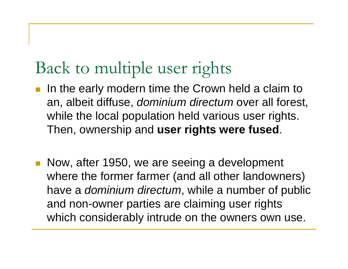## Back to multiple user rights

- П In the early modern time the Crown held a claim to an, albeit diffuse, *dominium directum* over all forest, while the local population held various user rights. Then, ownership and **user rights were fused**.
- П Now, after 1950, we are seeing a development where the former farmer (and all other landowners) have a *dominium directum*, while a number of public and non-owner parties are claiming user rights which considerably intrude on the owners own use.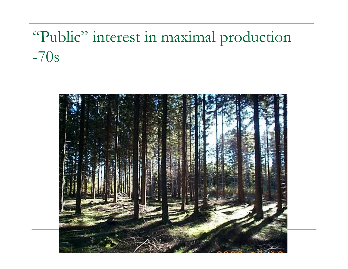## "Public" interest in maximal production -70s

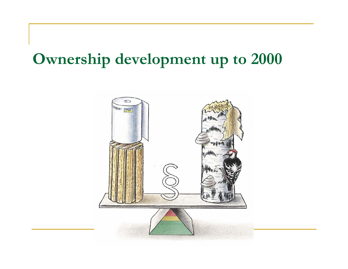#### **Ownership development up to 2000**

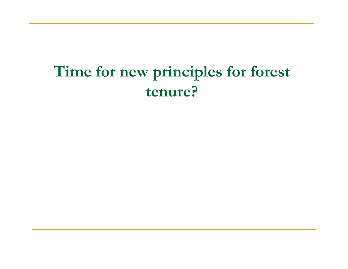### **Time for new principles for forest tenure?**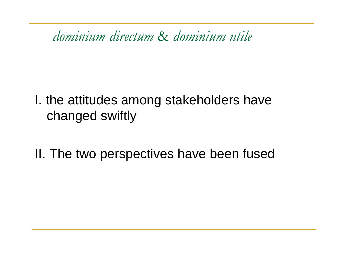*dominium directum* & *dominium utile*

#### I. the attitudes among stakeholders have changed swiftly

II. The two perspectives have been fused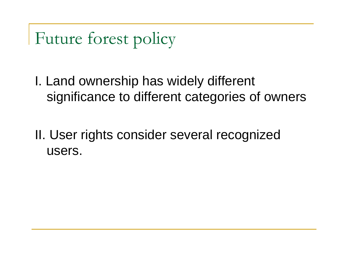Future forest policy

I. Land ownership has widely different significance to different categories of owners

II. User rights consider several recognized users.